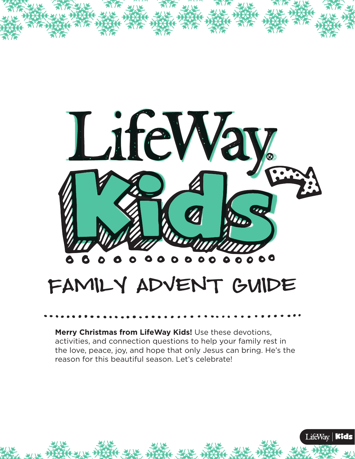

## FAMILY ADVENT GUIDE

**Merry Christmas from LifeWay Kids!** Use these devotions, activities, and connection questions to help your family rest in the love, peace, joy, and hope that only Jesus can bring. He's the reason for this beautiful season. Let's celebrate!

LifeWay | Kids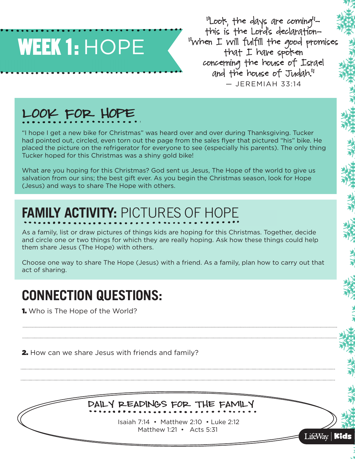# WEEK 1: HOPE

'Loof, the days are coming'this is the Lord's declaration–- "when I will fulfill the good promises that I have spoken concerning the house of Israel and the house of Judah." — JEREMIAH 33:14

LifeWay | Kids

#### LOOK FOR HOPE

"I hope I get a new bike for Christmas" was heard over and over during Thanksgiving. Tucker had pointed out, circled, even torn out the page from the sales flyer that pictured "his" bike. He placed the picture on the refrigerator for everyone to see (especially his parents). The only thing Tucker hoped for this Christmas was a shiny gold bike!

What are you hoping for this Christmas? God sent us Jesus, The Hope of the world to give us salvation from our sins; the best gift ever. As you begin the Christmas season, look for Hope (Jesus) and ways to share The Hope with others.

### **FAMILY ACTIVITY:** PICTURES OF HOPE

As a family, list or draw pictures of things kids are hoping for this Christmas. Together, decide and circle one or two things for which they are really hoping. Ask how these things could help them share Jesus (The Hope) with others.

Choose one way to share The Hope (Jesus) with a friend. As a family, plan how to carry out that act of sharing.

#### **CONNECTION QUESTIONS:**

**1.** Who is The Hope of the World?

**2.** How can we share Jesus with friends and family?

Daily Readings for the Family

 Isaiah 7:14 • Matthew 2:10 • Luke 2:12 Matthew 1:21 • Acts 5:31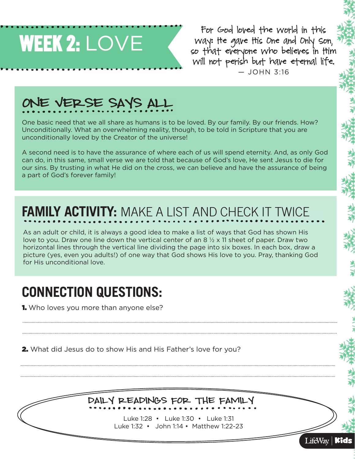

For God loved the world in this way: He gave His One and Only Son, so that everyone who believes in Him will not perish but have eternal life.  $-$  JOHN 3:16

Kids

LifeWay |

### ONE VERSE SAYS ALL

One basic need that we all share as humans is to be loved. By our family. By our friends. How? Unconditionally. What an overwhelming reality, though, to be told in Scripture that you are unconditionally loved by the Creator of the universe!

A second need is to have the assurance of where each of us will spend eternity. And, as only God can do, in this same, small verse we are told that because of God's love, He sent Jesus to die for our sins. By trusting in what He did on the cross, we can believe and have the assurance of being a part of God's forever family!

### **FAMILY ACTIVITY:** MAKE A LIST AND CHECK IT TWICE

As an adult or child, it is always a good idea to make a list of ways that God has shown His love to you. Draw one line down the vertical center of an 8  $\frac{1}{2}$  x 11 sheet of paper. Draw two horizontal lines through the vertical line dividing the page into six boxes. In each box, draw a picture (yes, even you adults!) of one way that God shows His love to you. Pray, thanking God for His unconditional love.

#### **CONNECTION QUESTIONS:**

**1.** Who loves you more than anyone else?

2. What did Jesus do to show His and His Father's love for you?

#### Daily Readings for the Family

 Luke 1:28 • Luke 1:30 • Luke 1:31 Luke 1:32 • John 1:14 • Matthew 1:22-23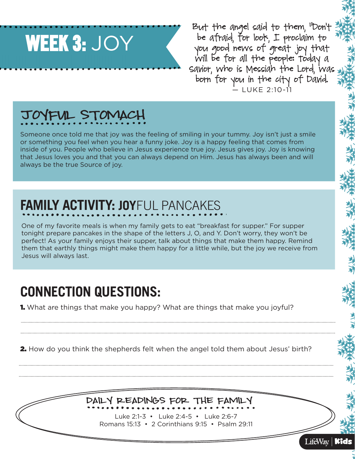

But the angel said to them, "Don't be afraid, for look, I proclaim to you good news of great joy that will be for all the people: Today a Savior, who is Messiah the Lord, was born for you in the city of David.  $-111KF$  2:10-11

#### JOYFUL STOMACH

Someone once told me that joy was the feeling of smiling in your tummy. Joy isn't just a smile or something you feel when you hear a funny joke. Joy is a happy feeling that comes from inside of you. People who believe in Jesus experience true joy. Jesus gives joy. Joy is knowing that Jesus loves you and that you can always depend on Him. Jesus has always been and will always be the true Source of joy.

### **FAMILY ACTIVITY: JOY**FUL PANCAKES

One of my favorite meals is when my family gets to eat "breakfast for supper." For supper tonight prepare pancakes in the shape of the letters J, O, and Y. Don't worry, they won't be perfect! As your family enjoys their supper, talk about things that make them happy. Remind them that earthly things might make them happy for a little while, but the joy we receive from Jesus will always last.

#### **CONNECTION QUESTIONS:**

**1.** What are things that make you happy? What are things that make you joyful?

2. How do you think the shepherds felt when the angel told them about Jesus' birth?

#### Daily Readings for the Family

Luke 2:1-3 • Luke 2:4-5 • Luke 2:6-7 Romans 15:13 • 2 Corinthians 9:15 • Psalm 29:11

LifeWay  $\mathbf{\mathbb{K}}$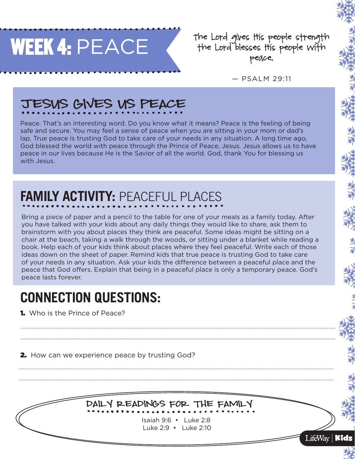

the Lord gives ttis people strength-<br>the Lord blesses ttis people with peace.

— PSALM 29:11

Kids

LifeWay  $|$ 

### JESUS GIVES US PEACE

Peace. That's an interesting word. Do you know what it means? Peace is the feeling of being safe and secure. You may feel a sense of peace when you are sitting in your mom or dad's lap. True peace is trusting God to take care of your needs in any situation. A long time ago, God blessed the world with peace through the Prince of Peace, Jesus. Jesus allows us to have peace in our lives because He is the Savior of all the world. God, thank You for blessing us with Jesus.

## **FAMILY ACTIVITY: PEACEFUL PLACES**

Bring a piece of paper and a pencil to the table for one of your meals as a family today. After you have talked with your kids about any daily things they would like to share, ask them to brainstorm with you about places they think are peaceful. Some ideas might be sitting on a chair at the beach, taking a walk through the woods, or sitting under a blanket while reading a book. Help each of your kids think about places where they feel peaceful. Write each of those ideas down on the sheet of paper. Remind kids that true peace is trusting God to take care of your needs in any situation. Ask your kids the difference between a peaceful place and the peace that God offers. Explain that being in a peaceful place is only a temporary peace. God's peace lasts forever.

#### **CONNECTION QUESTIONS:**

**1.** Who is the Prince of Peace?

**2.** How can we experience peace by trusting God?



Isaiah 9:6 • Luke 2:8 Luke 2:9 • Luke 2:10